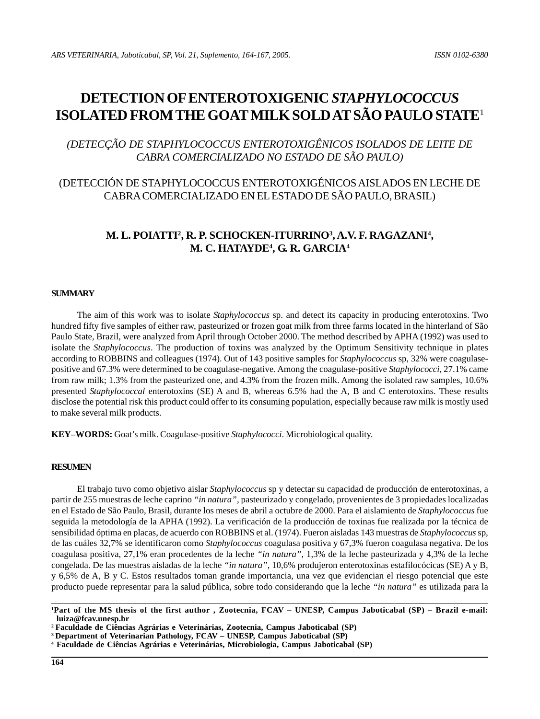# **DETECTION OF ENTEROTOXIGENIC** *STAPHYLOCOCCUS* **ISOLATED FROM THE GOAT MILK SOLD AT SÃO PAULO STATE**<sup>1</sup>

*(DETECÇÃO DE STAPHYLOCOCCUS ENTEROTOXIGÊNICOS ISOLADOS DE LEITE DE CABRA COMERCIALIZADO NO ESTADO DE SÃO PAULO)*

# (DETECCIÓN DE STAPHYLOCOCCUS ENTEROTOXIGÉNICOS AISLADOS EN LECHE DE CABRA COMERCIALIZADO EN EL ESTADO DE SÃO PAULO, BRASIL)

# **M. L. POIATTI2 , R. P. SCHOCKEN-ITURRINO3 , A.V. F. RAGAZANI4 , M. C. HATAYDE4 , G. R. GARCIA4**

### **SUMMARY**

The aim of this work was to isolate *Staphylococcus* sp. and detect its capacity in producing enterotoxins. Two hundred fifty five samples of either raw, pasteurized or frozen goat milk from three farms located in the hinterland of São Paulo State, Brazil, were analyzed from April through October 2000. The method described by APHA (1992) was used to isolate the *Staphylococcus*. The production of toxins was analyzed by the Optimum Sensitivity technique in plates according to ROBBINS and colleagues (1974). Out of 143 positive samples for *Staphylococcus* sp, 32% were coagulasepositive and 67.3% were determined to be coagulase-negative. Among the coagulase-positive *Staphylococci*, 27.1% came from raw milk; 1.3% from the pasteurized one, and 4.3% from the frozen milk. Among the isolated raw samples, 10.6% presented *Staphylococcal* enterotoxins (SE) A and B, whereas 6.5% had the A, B and C enterotoxins. These results disclose the potential risk this product could offer to its consuming population, especially because raw milk is mostly used to make several milk products.

**KEY–WORDS:** Goat's milk. Coagulase-positive *Staphylococci*. Microbiological quality.

#### **RESUMEN**

El trabajo tuvo como objetivo aislar *Staphylococcus* sp y detectar su capacidad de producción de enterotoxinas, a partir de 255 muestras de leche caprino *"in natura"*, pasteurizado y congelado, provenientes de 3 propiedades localizadas en el Estado de São Paulo, Brasil, durante los meses de abril a octubre de 2000. Para el aislamiento de *Staphylococcus* fue seguida la metodología de la APHA (1992). La verificación de la producción de toxinas fue realizada por la técnica de sensibilidad óptima en placas, de acuerdo con ROBBINS et al. (1974). Fueron aisladas 143 muestras de *Staphylococcus* sp, de las cuáles 32,7% se identificaron como *Staphylococcus* coagulasa positiva y 67,3% fueron coagulasa negativa. De los coagulasa positiva, 27,1% eran procedentes de la leche *"in natura"*, 1,3% de la leche pasteurizada y 4,3% de la leche congelada. De las muestras aisladas de la leche *"in natura"*, 10,6% produjeron enterotoxinas estafilocócicas (SE) A y B, y 6,5% de A, B y C. Estos resultados toman grande importancia, una vez que evidencian el riesgo potencial que este producto puede representar para la salud pública, sobre todo considerando que la leche *"in natura"* es utilizada para la

**<sup>1</sup> Part of the MS thesis of the first author , Zootecnia, FCAV – UNESP, Campus Jaboticabal (SP) – Brazil e-mail: luiza@fcav.unesp.br**

**<sup>2</sup> Faculdade de Ciências Agrárias e Veterinárias, Zootecnia, Campus Jaboticabal (SP)**

**<sup>3</sup> Department of Veterinarian Pathology, FCAV – UNESP, Campus Jaboticabal (SP)**

**<sup>4</sup> Faculdade de Ciências Agrárias e Veterinárias, Microbiologia, Campus Jaboticabal (SP)**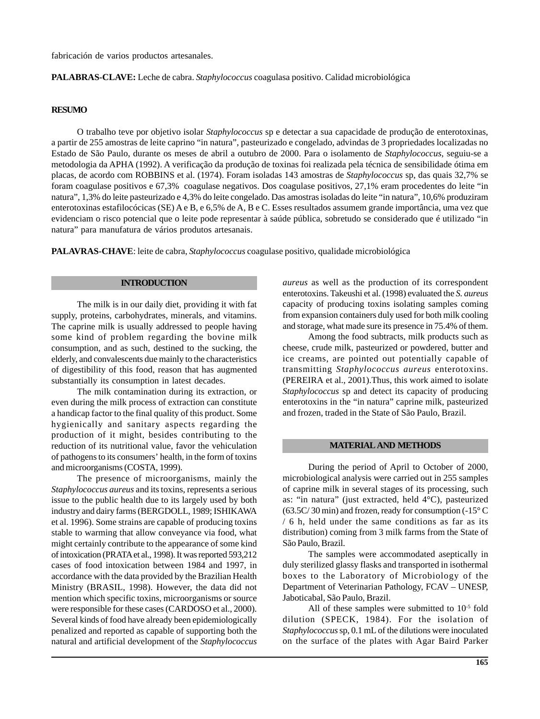fabricación de varios productos artesanales.

#### **PALABRAS-CLAVE:** Leche de cabra. *Staphylococcus* coagulasa positivo. Calidad microbiológica

#### **RESUMO**

O trabalho teve por objetivo isolar *Staphylococcus* sp e detectar a sua capacidade de produção de enterotoxinas, a partir de 255 amostras de leite caprino "in natura", pasteurizado e congelado, advindas de 3 propriedades localizadas no Estado de São Paulo, durante os meses de abril a outubro de 2000. Para o isolamento de *Staphylococcus,* seguiu-se a metodologia da APHA (1992). A verificação da produção de toxinas foi realizada pela técnica de sensibilidade ótima em placas, de acordo com ROBBINS et al. (1974). Foram isoladas 143 amostras de *Staphylococcus* sp, das quais 32,7% se foram coagulase positivos e 67,3% coagulase negativos. Dos coagulase positivos, 27,1% eram procedentes do leite "in natura", 1,3% do leite pasteurizado e 4,3% do leite congelado. Das amostras isoladas do leite "in natura", 10,6% produziram enterotoxinas estafilocócicas (SE) A e B, e 6,5% de A, B e C. Esses resultados assumem grande importância, uma vez que evidenciam o risco potencial que o leite pode representar à saúde pública, sobretudo se considerado que é utilizado "in natura" para manufatura de vários produtos artesanais.

**PALAVRAS-CHAVE**: leite de cabra, *Staphylococcus* coagulase positivo, qualidade microbiológica

#### **INTRODUCTION**

The milk is in our daily diet, providing it with fat supply, proteins, carbohydrates, minerals, and vitamins. The caprine milk is usually addressed to people having some kind of problem regarding the bovine milk consumption, and as such, destined to the sucking, the elderly, and convalescents due mainly to the characteristics of digestibility of this food, reason that has augmented substantially its consumption in latest decades.

The milk contamination during its extraction, or even during the milk process of extraction can constitute a handicap factor to the final quality of this product. Some hygienically and sanitary aspects regarding the production of it might, besides contributing to the reduction of its nutritional value, favor the vehiculation of pathogens to its consumers' health, in the form of toxins and microorganisms (COSTA, 1999).

The presence of microorganisms, mainly the *Staphylococcus aureus* and its toxins, represents a serious issue to the public health due to its largely used by both industry and dairy farms (BERGDOLL, 1989; ISHIKAWA et al. 1996). Some strains are capable of producing toxins stable to warming that allow conveyance via food, what might certainly contribute to the appearance of some kind of intoxication (PRATA et al., 1998). It was reported 593,212 cases of food intoxication between 1984 and 1997, in accordance with the data provided by the Brazilian Health Ministry (BRASIL, 1998). However, the data did not mention which specific toxins, microorganisms or source were responsible for these cases (CARDOSO et al., 2000). Several kinds of food have already been epidemiologically penalized and reported as capable of supporting both the natural and artificial development of the *Staphylococcus*

*aureus* as well as the production of its correspondent enterotoxins. Takeushi et al. (1998) evaluated the *S. aureus* capacity of producing toxins isolating samples coming from expansion containers duly used for both milk cooling and storage, what made sure its presence in 75.4% of them.

Among the food subtracts, milk products such as cheese, crude milk, pasteurized or powdered, butter and ice creams, are pointed out potentially capable of transmitting *Staphylococcus aureus* enterotoxins. (PEREIRA et al., 2001).Thus, this work aimed to isolate *Staphylococcus* sp and detect its capacity of producing enterotoxins in the "in natura" caprine milk, pasteurized and frozen, traded in the State of São Paulo, Brazil.

#### **MATERIAL AND METHODS**

During the period of April to October of 2000, microbiological analysis were carried out in 255 samples of caprine milk in several stages of its processing, such as: "in natura" (just extracted, held 4°C), pasteurized (63.5C/ 30 min) and frozen, ready for consumption (-15° C / 6 h, held under the same conditions as far as its distribution) coming from 3 milk farms from the State of São Paulo, Brazil.

The samples were accommodated aseptically in duly sterilized glassy flasks and transported in isothermal boxes to the Laboratory of Microbiology of the Department of Veterinarian Pathology, FCAV – UNESP, Jaboticabal, São Paulo, Brazil.

All of these samples were submitted to  $10<sup>-5</sup>$  fold dilution (SPECK, 1984). For the isolation of *Staphylococcus* sp, 0.1 mL of the dilutions were inoculated on the surface of the plates with Agar Baird Parker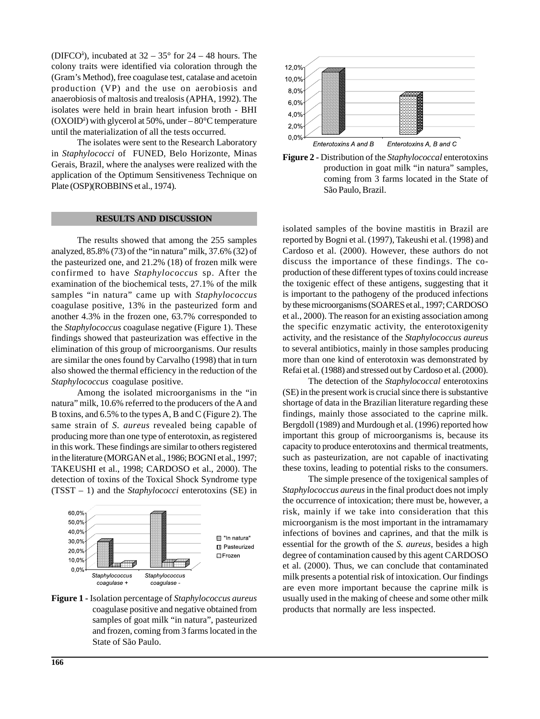(DIFCO<sup>a</sup>), incubated at  $32 - 35^{\circ}$  for  $24 - 48$  hours. The colony traits were identified via coloration through the (Gram's Method), free coagulase test, catalase and acetoin production (VP) and the use on aerobiosis and anaerobiosis of maltosis and trealosis (APHA, 1992). The isolates were held in brain heart infusion broth - BHI (OXOIDâ ) with glycerol at 50%, under – 80°C temperature until the materialization of all the tests occurred.

The isolates were sent to the Research Laboratory in *Staphylococci* of FUNED, Belo Horizonte, Minas Gerais, Brazil, where the analyses were realized with the application of the Optimum Sensitiveness Technique on Plate (OSP)(ROBBINS et al., 1974).

### **RESULTS AND DISCUSSION**

The results showed that among the 255 samples analyzed, 85.8% (73) of the "in natura" milk, 37.6% (32) of the pasteurized one, and 21.2% (18) of frozen milk were confirmed to have *Staphylococcus* sp. After the examination of the biochemical tests, 27.1% of the milk samples "in natura" came up with *Staphylococcus* coagulase positive, 13% in the pasteurized form and another 4.3% in the frozen one, 63.7% corresponded to the *Staphylococcus* coagulase negative (Figure 1). These findings showed that pasteurization was effective in the elimination of this group of microorganisms. Our results are similar the ones found by Carvalho (1998) that in turn also showed the thermal efficiency in the reduction of the *Staphylococcus* coagulase positive.

Among the isolated microorganisms in the "in natura" milk, 10.6% referred to the producers of the A and B toxins, and 6.5% to the types A, B and C (Figure 2). The same strain of *S. aureus* revealed being capable of producing more than one type of enterotoxin, as registered in this work. These findings are similar to others registered in the literature (MORGAN et al., 1986; BOGNI et al., 1997; TAKEUSHI et al., 1998; CARDOSO et al., 2000). The detection of toxins of the Toxical Shock Syndrome type (TSST – 1) and the *Staphylococci* enterotoxins (SE) in



**Figure 1 -** Isolation percentage of *Staphylococcus aureus* coagulase positive and negative obtained from samples of goat milk "in natura", pasteurized and frozen, coming from 3 farms located in the State of São Paulo.





isolated samples of the bovine mastitis in Brazil are reported by Bogni et al. (1997), Takeushi et al. (1998) and Cardoso et al. (2000). However, these authors do not discuss the importance of these findings. The coproduction of these different types of toxins could increase the toxigenic effect of these antigens, suggesting that it is important to the pathogeny of the produced infections by these microorganisms (SOARES et al., 1997; CARDOSO et al., 2000). The reason for an existing association among the specific enzymatic activity, the enterotoxigenity activity, and the resistance of the *Staphylococcus aureus* to several antibiotics, mainly in those samples producing more than one kind of enterotoxin was demonstrated by Refai et al. (1988) and stressed out by Cardoso et al. (2000).

The detection of the *Staphylococcal* enterotoxins (SE) in the present work is crucial since there is substantive shortage of data in the Brazilian literature regarding these findings, mainly those associated to the caprine milk. Bergdoll (1989) and Murdough et al. (1996) reported how important this group of microorganisms is, because its capacity to produce enterotoxins and thermical treatments, such as pasteurization, are not capable of inactivating these toxins, leading to potential risks to the consumers.

The simple presence of the toxigenical samples of *Staphylococcus aureus* in the final product does not imply the occurrence of intoxication; there must be, however, a risk, mainly if we take into consideration that this microorganism is the most important in the intramamary infections of bovines and caprines, and that the milk is essential for the growth of the *S. aureus*, besides a high degree of contamination caused by this agent CARDOSO et al. (2000). Thus, we can conclude that contaminated milk presents a potential risk of intoxication. Our findings are even more important because the caprine milk is usually used in the making of cheese and some other milk products that normally are less inspected.